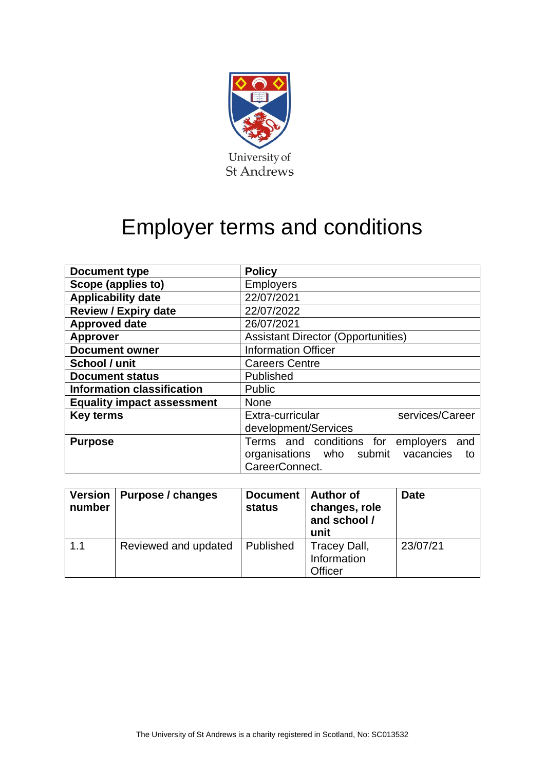

## Employer terms and conditions

| <b>Document type</b>              | <b>Policy</b>                             |  |  |
|-----------------------------------|-------------------------------------------|--|--|
| Scope (applies to)                | <b>Employers</b>                          |  |  |
| <b>Applicability date</b>         | 22/07/2021                                |  |  |
| <b>Review / Expiry date</b>       | 22/07/2022                                |  |  |
| <b>Approved date</b>              | 26/07/2021                                |  |  |
| <b>Approver</b>                   | <b>Assistant Director (Opportunities)</b> |  |  |
| <b>Document owner</b>             | <b>Information Officer</b>                |  |  |
| School / unit                     | <b>Careers Centre</b>                     |  |  |
| <b>Document status</b>            | Published                                 |  |  |
| <b>Information classification</b> | Public                                    |  |  |
| <b>Equality impact assessment</b> | <b>None</b>                               |  |  |
| <b>Key terms</b>                  | Extra-curricular<br>services/Career       |  |  |
|                                   | development/Services                      |  |  |
| <b>Purpose</b>                    | Terms and conditions for employers<br>and |  |  |
|                                   | organisations who submit vacancies<br>to  |  |  |
|                                   | CareerConnect.                            |  |  |

| <b>Version</b><br>number | Purpose / changes    | <b>Document</b><br>status | <b>Author of</b><br>changes, role<br>and school /<br>unit | <b>Date</b> |
|--------------------------|----------------------|---------------------------|-----------------------------------------------------------|-------------|
| 1.1                      | Reviewed and updated | Published                 | Tracey Dall,<br>Information<br><b>Officer</b>             | 23/07/21    |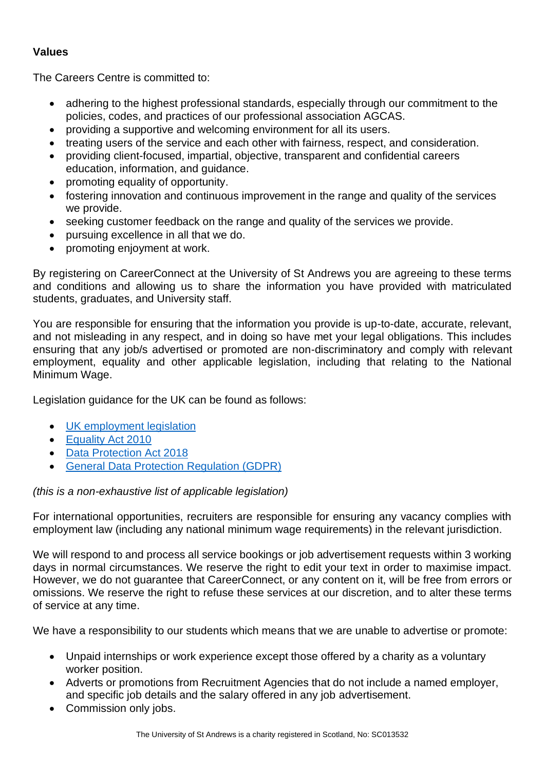## **Values**

The Careers Centre is committed to:

- adhering to the highest professional standards, especially through our commitment to the policies, codes, and practices of our professional association AGCAS.
- providing a supportive and welcoming environment for all its users.
- treating users of the service and each other with fairness, respect, and consideration.
- providing client-focused, impartial, objective, transparent and confidential careers education, information, and guidance.
- promoting equality of opportunity.
- fostering innovation and continuous improvement in the range and quality of the services we provide.
- seeking customer feedback on the range and quality of the services we provide.
- pursuing excellence in all that we do.
- promoting enjoyment at work.

By registering on CareerConnect at the University of St Andrews you are agreeing to these terms and conditions and allowing us to share the information you have provided with matriculated students, graduates, and University staff.

You are responsible for ensuring that the information you provide is up-to-date, accurate, relevant, and not misleading in any respect, and in doing so have met your legal obligations. This includes ensuring that any job/s advertised or promoted are non-discriminatory and comply with relevant employment, equality and other applicable legislation, including that relating to the National Minimum Wage.

Legislation guidance for the UK can be found as follows:

- [UK employment legislation](https://www.gov.uk/browse/employing-people)
- [Equality Act 2010](https://www.equalityhumanrights.com/en/equality-act)
- [Data Protection Act 2018](https://www.gov.uk/government/collections/data-protection-act-2018)
- [General Data Protection Regulation \(GDPR\)](https://www.gov.uk/government/publications/guide-to-the-general-data-protection-regulation)

## *(this is a non-exhaustive list of applicable legislation)*

For international opportunities, recruiters are responsible for ensuring any vacancy complies with employment law (including any national minimum wage requirements) in the relevant jurisdiction.

We will respond to and process all service bookings or job advertisement requests within 3 working days in normal circumstances. We reserve the right to edit your text in order to maximise impact. However, we do not guarantee that CareerConnect, or any content on it, will be free from errors or omissions. We reserve the right to refuse these services at our discretion, and to alter these terms of service at any time.

We have a responsibility to our students which means that we are unable to advertise or promote:

- Unpaid internships or work experience except those offered by a charity as a voluntary worker position.
- Adverts or promotions from Recruitment Agencies that do not include a named employer, and specific job details and the salary offered in any job advertisement.
- Commission only jobs.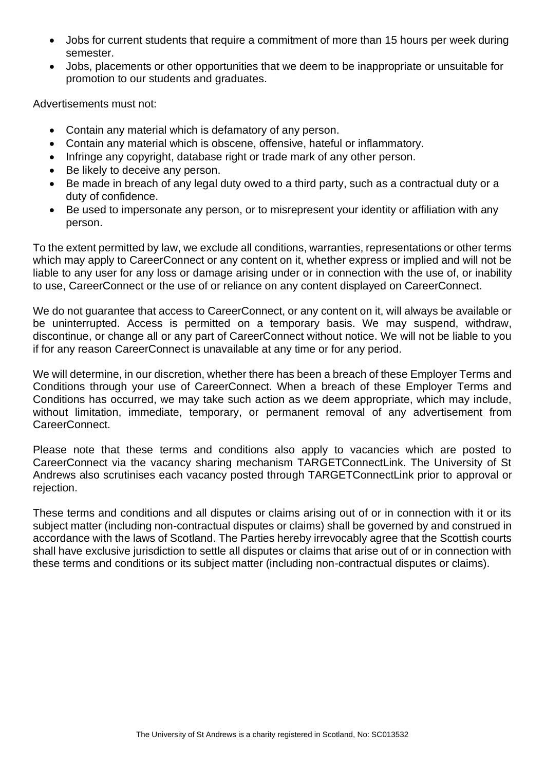- Jobs for current students that require a commitment of more than 15 hours per week during semester.
- Jobs, placements or other opportunities that we deem to be inappropriate or unsuitable for promotion to our students and graduates.

Advertisements must not:

- Contain any material which is defamatory of any person.
- Contain any material which is obscene, offensive, hateful or inflammatory.
- Infringe any copyright, database right or trade mark of any other person.
- Be likely to deceive any person.
- Be made in breach of any legal duty owed to a third party, such as a contractual duty or a duty of confidence.
- Be used to impersonate any person, or to misrepresent your identity or affiliation with any person.

To the extent permitted by law, we exclude all conditions, warranties, representations or other terms which may apply to CareerConnect or any content on it, whether express or implied and will not be liable to any user for any loss or damage arising under or in connection with the use of, or inability to use, CareerConnect or the use of or reliance on any content displayed on CareerConnect.

We do not guarantee that access to CareerConnect, or any content on it, will always be available or be uninterrupted. Access is permitted on a temporary basis. We may suspend, withdraw, discontinue, or change all or any part of CareerConnect without notice. We will not be liable to you if for any reason CareerConnect is unavailable at any time or for any period.

We will determine, in our discretion, whether there has been a breach of these Employer Terms and Conditions through your use of CareerConnect. When a breach of these Employer Terms and Conditions has occurred, we may take such action as we deem appropriate, which may include, without limitation, immediate, temporary, or permanent removal of any advertisement from CareerConnect.

Please note that these terms and conditions also apply to vacancies which are posted to CareerConnect via the vacancy sharing mechanism TARGETConnectLink. The University of St Andrews also scrutinises each vacancy posted through TARGETConnectLink prior to approval or rejection.

These terms and conditions and all disputes or claims arising out of or in connection with it or its subject matter (including non-contractual disputes or claims) shall be governed by and construed in accordance with the laws of Scotland. The Parties hereby irrevocably agree that the Scottish courts shall have exclusive jurisdiction to settle all disputes or claims that arise out of or in connection with these terms and conditions or its subject matter (including non-contractual disputes or claims).